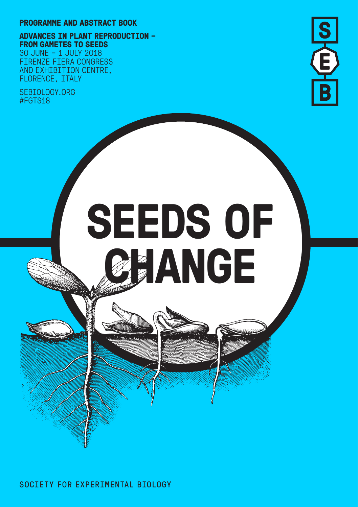#### **PROGRAMME AND ABSTRACT BOOK**

**ADVANCES IN PLANT REPRODUCTION – FROM GAMETES TO SEEDS**

30 JUNE – 1 JULY 2018 FIRENZE FIERA CONGRESS AND EXHIBITION CENTRE, FLORENCE, ITALY

SEBIOLOGY.ORG #FGTS18



# **SEEDS OF EANGE**

SOCIETY FOR EXPERIMENTAL BIOLOGY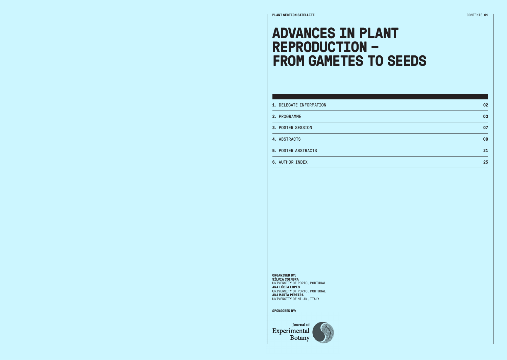### **ADVANCES IN PLANT REPRODUCTION – FROM GAMETES TO SEEDS**

| 1. DELEGATE INFORMATION    | 02 |
|----------------------------|----|
| 2. PROGRAMME               | 03 |
| 3. POSTER SESSION          | 07 |
| 4. ABSTRACTS               | 08 |
| <b>5. POSTER ABSTRACTS</b> | 21 |
| 6. AUTHOR INDEX            | 25 |

#### **ORGANISED BY:**

**SÍLVIA COIMBRA** UNIVERSITY OF PORTO, PORTUGAL **ANA LÚCIA LOPES** UNIVERSITY OF PORTO, PORTUGAL **ANA MARTA PEREIRA** UNIVERSITY OF MILAN, ITALY

**SPONSORED BY:**

Journal of Experimental **Botany**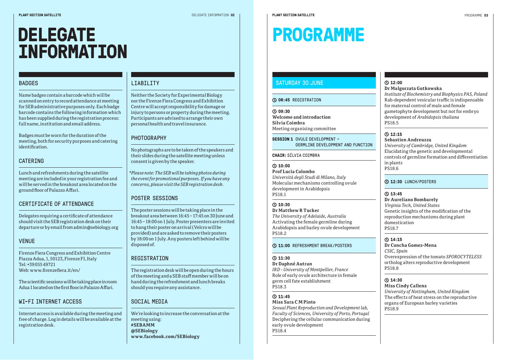**DELEGATE** 

## **PROGRAMME**

#### BADGES

Name badges contain a barcode which will be scanned on entry to record attendance at meeting for SEB administrative purposes only. Each badge barcode contains the following information which has been supplied during the registration process: full name, institution and email address.

**INFORMATION**

Badges must be worn for the duration of the meeting, both for security purposes and catering identification.

#### CATERING

Lunch and refreshments during the satellite meeting are included in your registration fee and will be served in the breakout area located on the ground floor of Palazzo Affari.

#### CERTIFICATE OF ATTENDANCE

Delegates requiring a certificate of attendance should visit the SEB registration desk on their departure or by email from admin@sebiology.org

#### VENUE

Firenze Fiera Congress and Exhibition Centre Piazza Adua, 1, 50123, Firenze FI, Italy Tel: +39 055 49721 Web: www.firenzefiera.it/en/

The scientific sessions will be taking place in room Adua 1 located on the first floor in Palazzo Affari.

#### WI-FI INTERNET ACCESS

Internet access is available during the meeting and free of charge. Log in details will be available at the registration desk.

#### LIABILITY

Neither the Society for Experimental Biology nor the Firenze Fiera Congress and Exhibition Centre will accept responsibility for damage or injury to persons or property during the meeting. Participants are advised to arrange their own personal health and travel insurance.

#### PHOTOGRAPHY

No photographs are to be taken of the speakers and their slides during the satellite meeting unless consent is given by the speaker.

*\*Please note: The SEB will be taking photos during the event for promotional purposes. If you have any concerns, please visit the SEB registration desk.*

#### POSTER SESSIONS

The poster sessions will be taking place in the breakout area between 16:45 – 17:45 on 30 June and 16:45 – 18:00 on 1 July. Poster presenters are invited to hang their poster on arrival (Velcro will be provided) and are asked to remove their posters by 18:00 on 1 July. Any posters left behind will be disposed of.

#### **REGISTRATION**

The registration desk will be open during the hours of the meeting and a SEB staff member will be on hand during the refreshment and lunch breaks should you require any assistance.

#### SOCIAL MEDIA

We're looking to increase the conversation at the meeting using: **#SEBAMM @SEBiology www.facebook.com/SEBiology** 

#### SATURDAY 30 JUNE

#### **08:45** REGISTRATION

**09:30**

**Welcome and introduction Sílvia Coimbra**  Meeting organising committee

**SESSION 1 OVULE DEVELOPMENT -**GERMLINE DEVELOPMENT AND FUNCTION

**CHAIR:**SÍLVIA COIMBRA

#### **10:00 Prof Lucia Colombo**  *Università degli Studi di Milano, Italy* Molecular mechanisms controlling ovule development in Arabidopsis PS18.1

#### **10:30 Dr Matthew R Tucker**

*The University of Adelaide, Australia* Activating the female germline during Arabidopsis and barley ovule development PS18.2

#### **11:00** REFRESHMENT BREAK/POSTERS

#### **11:30**

**Dr Daphné Autran**  *IRD - University of Montpellier, France* Role of early ovule architecture in female germ cell fate establishment PS18.3

#### **11:45 Miss Sara C M Pinto**

*Sexual Plant Reproduction and Development lab, Faculty of Sciences, University of Porto, Portugal* Deciphering the cellular communication during early ovule development PS18.4

### **12:00**

#### **Dr Malgorzata Gutkowska**  *Institute of Biochemistry and Biophysics PAS, Poland* Rab-dependent vesicular traffic is indispensable for maternal control of male and female gametophyte development but not for embryo development of *Arabidopsis thaliana* PS18.5

#### **12:15**

**Sebastien Andreuzza**  *University of Cambridge, United Kingdom* Elucidating the genetic and developmental controls of germline formation and differentiation in plants PS18.6

#### **12:30** LUNCH/POSTERS

### **13:45**

#### **Dr Aureliano Bombarely**  *Virginia Tech, United States*

Genetic insights of the modification of the reproduction mechanisms during plant domestication PS18.7

#### **14:15**

**Dr Concha Gomez-Mena**  *CSIC, Spain* Overexpression of the tomato *SPOROCYTELESS* ortholog alters reproductive development PS18.8

#### **14:30**

#### **Miss Cindy Callens**

*University of Nottingham, United Kingdom* The effects of heat stress on the reproductive organs of European barley varieties PS18.9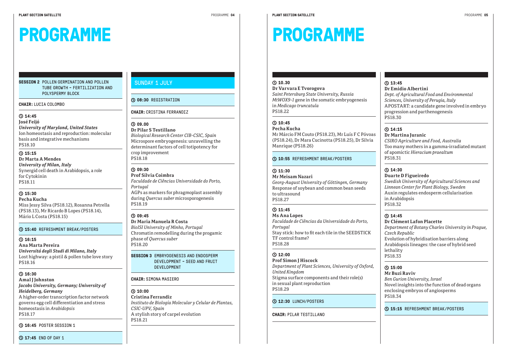## **PROGRAMME**

#### **SESSION 2** POLLEN GERMINATION AND POLLEN TUBE GROWTH - FERTILIZATION AND POLYSPERMY BLOCK

**PROGRAMME**

#### **CHAIR:**LUCIA COLOMBO

#### **14:45**

#### **José Feijó**

*University of Maryland, United States* Ion homeostasis and reproduction: molecular basis and integrative mechanisms PS18.10

#### **15:15**

**Dr Marta A Mendes** *University of Milan, Italy* Synergid cell death in Arabidopsis, a role for Cytokinin PS18.11

#### **15:30**

**Pecha Kucha** Miss Jessy Silva (PS18.12), Rosanna Petrella (PS18.13), Mr Ricardo B Lopes (PS18.14), Mário L Costa (PS18.15)

#### **15:40** REFRESHMENT BREAK/POSTERS

#### **16:15**

**Ana Marta Pereira** *Universitá degli Studi di Milano, Italy* Lost highway: a pistil & pollen tube love story PS18.16

#### **16:30**

#### **Amal J Johnston** *Jacobs University, Germany; University of Heidelberg, Germany* A higher-order transcription factor network governs egg cell differentiation and stress homeostasis in *Arabidopsis*

PS18.17

**16:45** POSTER SESSION 1

#### **17:45** END OF DAY 1

#### SUNDAY 1 JULY

#### **08:30** REGISTRATION

#### **CHAIR:**CRISTINA FERRANDIZ

#### **09.00**

**Dr Pilar S Testillano**  *Biological Research Center CIB-CSIC, Spain* Microspore embryogenesis: unravelling the determinant factors of cell totipotency for crop improvement PS18.18

#### **09:30**

**Prof Sílvia Coimbra** *Faculdade de Ciências Universidade do Porto, Portugal* AGPs as markers for phragmoplast assembly during *Quercus suber* microsporogenesis PS18.19

#### **09:45**

**Dr Maria Manuela R Costa** *BioISI University of Minho, Portugal* Chromatin remodelling during the progamic phase of *Quercus suber* PS18.20

**SESSION 3** EMBRYOGENESIS AND ENDOSPERM DEVELOPMENT - SEED AND FRUITT DEVELOPMENT

#### **CHAIR:**SIMONA MASIERO

**10:00 Cristina Ferrandiz** *Instituto de Biología Molecular y Celular de Plantas, CSIC-UPV, Spain* A stylish story of carpel evolution PS18.21

#### **10.30**

**Dr Varvara E Tvorogova**  *Saint Petersburg State University, Russia MtWOX9-1* gene in the somatic embryogenesis in *Medicago truncatula* PS18.22

#### **10:45**

**Pecha Kucha**  Mr Márcio FM Couto (PS18.23), Mr Luís F C Póvoas (PS18.24), Dr Mara Cucinotta (PS18.25), Dr Silvia Manrique (PS18.26)

#### **10:55** REFRESHMENT BREAK/POSTERS

#### **11:30**

**Mr Meisam Nazari** 

*Georg-August University of Göttingen, Germany* Response of soybean and common bean seeds to ultrasound PS18.27

#### **11:45**

**Ms Ana Lopes** *Faculdade de Ciências da Universidade do Porto, Portugal* Stay stick: how to fit each tile in the SEEDSTICK TF control frame? PS18.28

### **12:00**

**Prof Simon J Hiscock**  *Department of Plant Sciences, University of Oxford, United Kingdom* Stigma surface components and their role(s) in sexual plant reproduction PS18.29

#### **12:30** LUNCH/POSTERS

#### **CHAIR:**PILAR TESTILLANO

### **13:45**

**Dr Emidio Albertini**  *Dept. of Agricultural Food and Environmental Sciences, University of Perugia, Italy* APOSTART: a candidate gene involved in embryo progression and parthenogenesis PS18.30

#### **14:15**

**Dr Martina Juranic**  *CSIRO Agriculture and Food, Australia* Too many mothers in a gamma-irradiated mutant of apomictic *Hieracium praealtum* PS18.31

#### **14:30**

#### **Duarte D Figueiredo**

*Swedish University of Agricultural Sciences and Linnean Center for Plant Biology, Sweden* Auxin regulates endosperm cellularisation in Arabidopsis PS18.32

#### **14:45**

**Dr Clément Lafon Placette** *Department of Botany Charles University in Prague, Czech Republic* Evolution of hybridisation barriers along

Arabidopsis lineages: the case of hybrid seed lethality PS18.33

#### **15:00**

**Mr Buzi Raviv**  *Ben Gurion University, Israel* Novel insights into the function of dead organs enclosing embryos of angiosperms PS18.34

#### **15:15** REFRESHMENT BREAK/POSTERS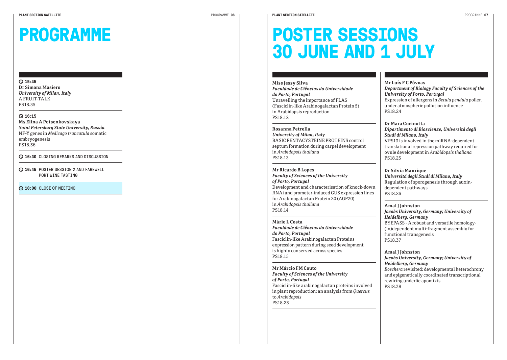## **PROGRAMME**

#### *University of Milan, Italy* A FRUIT-TALK PS18.35

**Dr Simona Masiero**

**15:45** 

**16:15** 

**Ms Elina A Potsenkovskaya** *Saint Petersburg State University, Russia* NF-Y genes in *Medicago truncatula* somatic embryogenesis PS18.36

**16:30** CLOSING REMARKS AND DISCUSSION

**16:45** POSTER SESSION 2 AND FAREWELL PORT WINE TASTING

**18:00** CLOSE OF MEETING

## **POSTER SESSIONS 30 JUNE AND 1 JULY**

**Miss Jessy Silva**  *Faculdade de Ciências da Universidade do Porto, Portugal* Unravelling the importance of FLA5 (Fasciclin-like Arabinogalactan Protein 5) in Arabidopsis reproduction PS18.12

**Rosanna Petrella**  *University of Milan, Italy* BASIC PENTACYSTEINE PROTEINS control septum formation during carpel development in *Arabidopsis thaliana* PS18.13

**Mr Ricardo B Lopes**  *Faculty of Sciences of the University of Porto, Portugal* Development and characterisation of knock-down RNAi and promoter-induced GUS expression lines for Arabinogalactan Protein 20 (AGP20) in *Arabidopsis thaliana* PS18.14

**Mário L Costa**  *Faculdade de Ciências da Universidade do Porto, Portugal* Fasciclin-like Arabinogalactan Proteins expression pattern during seed development is highly conserved across species PS18.15

**Mr Márcio FM Couto**  *Faculty of Sciences of the University of Porto, Portugal* Fasciclin-like arabinogalactan proteins involved in plant reproduction: an analysis from *Quercus* to *Arabidopsis* PS18.23

**Mr Luís F C Póvoas**  *Department of Biology Faculty of Sciences of the University of Porto, Portugal* Expression of allergens in *Betula pendula* pollen under atmospheric pollution influence PS18.24

**Dr Mara Cucinotta**  *Dipartimento di Bioscienze, Università degli Studi di Milano, Italy* VPS13 is involved in the miRNA-dependent translational repression pathway required for ovule development in *Arabidopsis thaliana* PS18.25

**Dr Silvia Manrique**  *Universitá degli Studi di Milano, Italy* Regulation of sporogenesis through auxindependent pathways PS18.26

**Amal J Johnston**  *Jacobs University, Germany; University of Heidelberg, Germany* BYEPASS - A robust and versatile homology- (in)dependent multi-fragment assembly for functional transgenesis PS18.37

**Amal J Johnston**  *Jacobs University, Germany; University of Heidelberg, Germany Boechera* revisited: developmental heterochrony and epigenetically coordinated transcriptional rewiring underlie apomixis PS18.38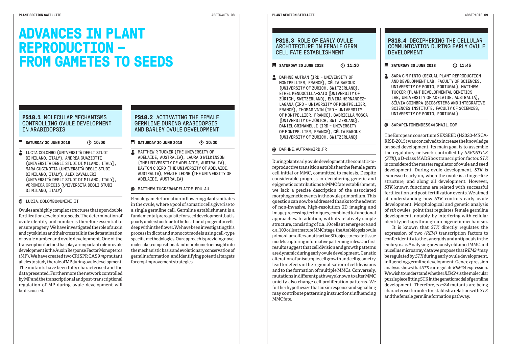### **ADVANCES IN PLANT REPRODUCTION – FROM GAMETES TO SEEDS**

#### **PS18.1** MOLECULAR MECHANISMS CONTROLLING OVILLE DEVELOPMENT IN ARABIDOPSIS

#### **SATURDAY 30 JUNE 2018** (2018)

LUCIA COLOMBO (UNIVERSITÀ DEGLI STUDI DI MILANO, ITALY), ANDREA GUAZZOTTI (UNIVERSITÀ DEGLI STUDI DI MILANO, ITALY), MARA CUCINOTTA (UNIVERSITÀ DEGLI STUDI DI MILANO, ITALY), ALEX CAVALLERI (UNIVERSITÀ DEGLI STUDI DI MILANO, ITALY), VERONICA GREGIS (UNIVERSITÀ DEGLI STUDI DT MTI ANO, TTALY)

#### LUCIA.COLOMBO@UNIMI.IT

Ovules are highly complex structures that upon double fertilization develop into seeds. The determination of ovule identity and number is therefore essential to ensure progeny. We have investigated the role of auxin and cytokinins and their cross talk in the determination of ovule number and ovule development. One of the transcription factors that play an important role in ovule development is the Auxin Response Factor Monopteros (MP). We have created two CRISPR CAS9 *mp* mutant alleles to study the role of MP during ovule development. The mutants have been fully characterised and the data presented. Furthermore the network controlled by MP and the transcriptional and post-transcriptional regulation of MP during ovule development will be discussed.

#### **PS18.2** ACTIVATING THE FEMALE GERMLINE DURING ARABIDOPSIS AND BARLEY OVULE DEVELOPMENT

- **SATURDAY 30 JUNE 2018** (2018)
- MATTHEW R TUCKER (THE UNIVERSITY OF ADELAIDE, AUSTRALIA), LAURA G WILKINSON (THE UNIVERSITY OF ADELAIDE, AUSTRALIA), DAYTON C BIRD (THE UNIVERSITY OF ADELAIDE, AUSTRALIA), WENG H LEONG (THE UNIVERSITY OF ADELAIDE, AUSTRALIA)

#### MATTHEW.TUCKER@ADELAIDE.EDU.AU

Female gamete formation in flowering plants initiates in the ovule, where a pool of somatic cells give rise to a single germline cell. Germline establishment is a fundamental prerequisite for seed development, but is poorly understood due to the location of progenitor cells deep within the flower. We have been investigating this process in dicot and monocot models using cell-type specific methodologies. Our approach is providing novel molecular, compositional and morphometric insight into the mechanistic basis and evolutionary conservation of germline formation, and identifying potential targets for crop improvement strategies.

#### **PS18.3 ROLE OF FARLY OVULF** ARCHITECTURE IN FEMALE GERM CELL FATE ESTABLISHMENT

#### **SATURDAY 30 JUNE 2018** (2018)

**C** DAPHNÉ AUTRAN (IRD - UNIVERSITY OF MONTPELLIER, FRANCE), CÉLIA BAROUX (UNIVERSITY OF ZÜRICH, SWITZERLAND), ETHEL MENDOCILLA-SATO (UNIVERSITY OF ZÜRICH, SWITZERLAND), ELVIRA HERNANDEZ-LAGANA (IRD - UNIVERSITY OF MONTPELLIER, FRANCE), THOMAS VAIN (IRD - UNIVERSITY OF MONTPELLIER, FRANCE), GABRIELLA MOSCA (UNIVERSITY OF ZÜRICH, SWITZERLAND), DANIEL GRIMANELLI (IRD - UNIVERSITY OF MONTPELLIER, FRANCE), CÉLIA BAROUX (UNIVERSITY OF ZÜRICH, SWITZERLAND)

#### DAPHNE.AUTRAN@IRD.FR

During plant early ovule development, the somatic-toreproductive transition establishes the female germ cell initial or MMC, committed to meiosis. Despite considerable progress in deciphering genetic and epigenetic contributions to MMC fate establishment, we lack a precise description of the associated morphogenetic events in the ovule primordium. This question can now be addressed thanks to the advent of non-invasive, high-resolution 3D imaging and image processing techniques, combined to functional approaches. In addition, with its relatively simple structure, consisting of c.a. 10 cells at emergence and c.a. 100 cells at mature MMC stage, the Arabidopsis ovule primordium offers an attractive 3D object to create tissue models capturing informative patterning rules. Our first results suggest that cell division and growth patterns are dynamic during early ovule development. Genetic alteration of anisotropic cell growth and cell geometry lead to defects in the regionalisation of cell divisions and to the formation of multiple MMCs. Conversely, mutations in different pathways known to alter MMC unicity also change cell proliferation patterns. We further hypothesize that auxin response and signalling may contribute patterning instructions influencing MMC fate.

#### **PS18.4 DECTPHERING THE CELLULAR** COMMUNICATION DURING EARLY OVULE DEVELOPMENT

#### **SATURDAY 30 JUNE 2018** 11:45

SARA C M PINTO (SEXUAL PLANT REPRODUCTION AND DEVELOPMENT LAB, FACULTY OF SCIENCES, UNIVERSITY OF PORTO, PORTUGAL), MATTHEW TUCKER (PLANT DEVELOPMENTAL GENETICS LAB, UNIVERSITY OF ADELAIDE, AUSTRALIA), SÍLVIA COIMBRA (BIOSYSTEMS AND INTEGRATIVE SCIENCES INSTITUTE, FACULTY OF SCIENCES, UNIVERSITY OF PORTO, PORTUGAL)

#### @ SARAPTNTOMENDES94@GMATL.COM

The European consortium SEXSEED (H2020-MSCA-RISE-2015) was conceived to increase the knowledge on seed development. Its main goal is to assemble the regulatory network controlled by *SEEDSTICK (STK)*, a D-class MADS box transcription factor. *STK* is considered the master regulator of ovule and seed development. During ovule development, *STK* is expressed early on, when the ovule is a finger-like structure, and along all development. However, *STK* known functions are related with successful fertilization and post-fertilization events. We aimed at understanding how *STK* controls early ovule development. Morphological and genetic analysis of *stk* ovules, point that regulates female germline development, notably, by interfering with cellular identity perhaps through an epigenetic mechanism.

It is known that *STK* directly regulates the expression of two *(REM)* transcription factors to confer identity to the synergids and antipodals in the embryo sac. Analysing previously obtained MMC and nucellus microarray data we propose that *REM24* may be regulated by *STK* during early ovule development, influencing germline development. Gene expression analysis shows that *STK* can regulate *REM24* expression. We wish to understand whether *REM24* is the molecular puzzle piece fitting STK in the genetic model of germline development. Therefore, *rem24* mutants are being characterised in order to establish a relation with *STK* and the female germline formation pathway.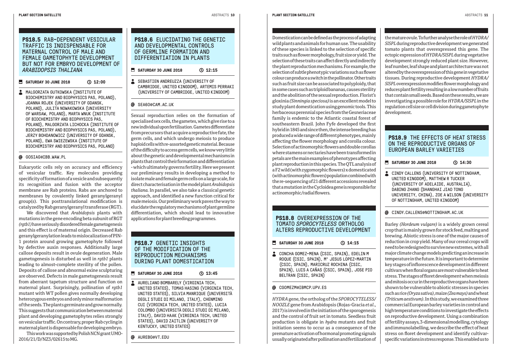#### **PS18.5 RAB-DEPENDENT VESTCULAR** TRAFFIC IS INDISPENSABLE FOR MATERNAL CONTROL OF MALE AND FEMALE GAMETOPHYTE DEVELOPMENT BUT NOT FOR EMBRYO DEVELOPMENT OF **ARABIDOPSIS THALIANA**

#### **SATURDAY 30 JUNE 2018 32:00**

**A** MALGORZATA GUTKOWSKA (INSTITUTE OF BIOCHEMISTRY AND BIOPHYSICS PAS, POLAND), JOANNA ROJEK (UNIVERSITY OF GDANSK, POLAND), JULITA NOWAKOWSKA (UNIVERSITY OF WARSAW, POLAND), MARTA WNUK (INSTITUTE OF BIOCHEMISTRY AND BIOPHYSICS PAS, POLAND), MALGORZATA LICHOCKA (INSTITUTE OF BIOCHEMISTRY AND BIOPHYSICS PAS, POLAND), JERZY BOHDANOWICZ (UNIVERSITY OF GDANSK, POLAND), EWA SWIEZEWSKA (INSTITUTE OF BIOCHEMISTRY AND BIOPHYSICS PAS, POLAND)

#### GOSIAG@IBB.WAW.PL

Eukaryotic cells rely on accuracy and efficiency of vesicular traffic. Key molecules providing  $s$ pecificity of formation of a vesicle and subsequently its recognition and fusion with the acceptor membrane are Rab proteins. Rabs are anchored to membranes by covalently linked geranylgeranyl group(s). This posttranslational modification is catalyzed by Rab geranylgeranyl transferase (RGT).

We discovered that *Arabidopsis* plants with mutations in the gene encoding beta subunit of RGT *(rgtb1)* have seriously disordered female gametogenesis and this effect is of maternal origin. Decreased Rab geranylgeranylation leads to mislocalization of PIN-1 protein around growing gametophyte followed by defective auxin responses. Additionally large callose deposits result in ovule degeneration. Male gametogenesis is disturbed as well in *rgtb1* plants leading to almost-complete sterility of the pollen. Deposits of callose and abnormal exine sculpturing are observed. Defects in male gametogenesis result from aberrant tapetum structure and function on maternal plant. Surprisingly, pollination of *rgtb1* mutant with WT pollen gives normally developing heterozygous embryos and only minor malformation of the seeds. The plants germinate and grow normally. This suggests that communication between maternal plant and developing gametophytes relies strongly on vesicular traffic. On contrary, proper Rab cycling in maternal plant is dispensable for developing embryo.

This work was supported by Polish NCN grant UMO-2016/21/D/NZ3/02615 to MG.

#### **PS18.6 ELUCIDATING THE GENETIC** AND DEVELOPMENTAL CONTROLS OF GERMLINE FORMATION AND DIFFERENTIATION IN PLANTS

- **SATURDAY 30 JUNE 2018** 12:15
- SEBASTIEN ANDREUZZA (UNIVERSITY OF CAMBRIDGE, UNITED KINGDOM), ARTEMIS PERRAKI (UNIVERSITY OF CAMBRIDGE, UNITED KINGDOM)

#### SEA60@CAM.AC.UK

Sexual reproduction relies on the formation of specialised sex cells, the gametes, which give rise to a new individual upon fertilisation. Gametes differentiate from precursors that acquire a reproductive fate, the germ cells, and which undergo meiosis to produce haploid cells with re-assorted genetic material. Because of the difficulty to access germ cells, we know very little about the genetic and developmental mechanisms in plants that control their formation and differentiation - which ultimately governs fertility. Here we present our preliminary results in developing a method to isolate male and female germ cells on a large scale, for direct characterisation in the model plant *Arabidopsis thaliana.* In parallel, we also take a classical genetic approach, and identified a new function critical for male meiosis. Our preliminary work paves the way to elucidate the regulatory mechanisms of plant germline differentiation, which should lead to innovative applications for plant breeding programmes.

#### **PS18.7** GENETIC INSIGHTS OF THE MODIFICATION OF THE REPRODUCTION MECHANISMS DURING PLANT DOMESTICATION

#### **SATURDAY 30 JUNE 2018** 13:45

AURELIANO BOMBARELY (VIRGINIA TECH, UNITED STATES), TOMAS HASING (VIRGINIA TECH, UNITED STATES), SILVIA MANRIQUE (UNIVERSITÀ DEGLI STUDI DI MILANO, ITALY), CHENMING CUI (VIRGINIA TECH, UNITED STATES), LUCIA COLOMBO (UNIVERSITÀ DEGLI STUDI DI MILANO, ITALY), DAVID HAAK (VIRGINIA TECH, UNITED STATES), DAVID ZAITLIN (UNIVERSITY OF KENTUCKY, UNITED STATES)

AUREBG@VT.EDU

### Domestication can be defined as the process of adapting wild plants and animals for human use. The usability of these species is linked to the selection of specific

traits such as flower morphology, fruit size or yield. The selection of these traits can affect directly and indirectly the plant reproduction mechanisms. For example, the selection of subtle phenotypic variations such as flower colour can produce a switch in the pollinator. Other traits such as fruit size can be associated to polyploidy, that in some cases such as triploid bananas, causes sterility and the abolition of the sexual reproduction. Florist's gloxinia *(Sinningia speciosa)* is an excellent model to study plant domestication using genomic tools. This herbaceous perennial species from the Gesneriaceae family is endemic to the Atlantic coastal forest of southeastern Brazil. John Fyfe developed the first hybrid in 1845 and since then, the intense breeding has produced a wide range of different phenotypes, mainly affecting the flower morphology and corolla colour. Selection of actinomorphic flowers and double corollas where stamens or nectaries have been transformed in petals are the main examples of phenotypes affecting plant reproduction in this species. The QTL analysis of a F2 wild (with zygomorphic flowers) x domesticated (with actinomorphic flowers) population combined with the re-sequencing of 21 different accessions revealed that a mutation in the Cycloidea gene is responsible for actinomorphic/radial flowers.

#### **PS18.8** OVEREXPRESSION OF THE TOMATO *SPOROCYTELESS* ORTHOLOG ALTERS REPRODUCTIVE DEVELOPMENT

- **SATURDAY 30 JUNE 2018** (214:15
- CONCHA GOMEZ-MENA (CSIC, SPAIN), EDELIN M ROQUE (CSIC, SPAIN), Mª JESUS LOPEZ-MARTIN (CSIC, SPAIN), MARICRUZ ROCHINA (CSIC, SPAIN), LUIS A CAÑAS (CSIC, SPAIN), JOSE PIO BELTRAN (CSIC, SPAIN)

#### CGOMEZM@IBMCP.UPV.ES

*HYDRA* gene, the ortholog of the *SPOROCYTELESS/ NOOZLE* gene from Arabidopsis (Rojas-Gracia *et al*., 2017) is involved in the initiation of the sporogenesis and the control of fruit set in tomato. Seedless fruit production is obligate in *hydra* mutants and fruit initiation seems to occur as a consequence of the premature activation of hormonal promoting signals usually originated after pollination and fertilization of

the mature ovule. To further analyse the role of *HYDRA/ SlSPL* during reproductive development we generated tomato plants that overexpressed this gene. The ectopic expression of *HYDRA/SlSPL* during vegetative development strongly reduced plant size. However, leaf number, leaf shape and plant architecture was not altered by the overexpression of this gene in vegetative tissues. During reproductive development *HYDRA/ SlSPL* overexpression modifies flower morphology and reduces plant fertility resulting in a low number of fruits that contain small seeds. Based on these results, we are investigating a possible role for *HYDRA/SlSPL* in the regulation cell size or cell division during gametophyte development.

#### **PS18.9** THE EFFECTS OF HEAT STRESS ON THE REPRODUCTIVE ORGANS OF EUROPEAN BARLEY VARIETIES

#### **SATURDAY 30 JUNE 2018 C** 14:30

CINDY CALLENS (UNIVERSITY OF NOTTINGHAM, UNITED KINGDOM), MATTHEW R TUCKER (UNIVERSITY OF ADELAIDE, AUSTRALIA), DABING ZHANG (SHANGHAI JIAO TONG UNIVERSITY, CHINA), ZOE A WILSON (UNIVERSITY OF NOTTINGHAM, UNITED KINGDOM)

#### CINDY.CALLENS@NOTTINGHAM.AC.UK

Barley *(Hordeum vulgare)* is a widely grown cereal crop that is mainly grown for stock feed, malting and brewing. Abiotic stress is one of the major causes of reduction in crop yield. Many of our cereal crops will need to be redesigned to survive new extremes, with all major climate change models predicting an increase in temperature in the future. It is important to determine key stages of inflorescence development in different cultivars when floral organs are most vulnerable to heat stress. The stages of floret development when meiosis and mitosis occur in the reproductive organs have been shown to be vulnerable to abiotic stresses in species such as rice *(Oryza sativa)*, maize *(Zea mays)* and wheat *(Triticum aestivum)*. In this study, we examined three commercial European barley varieties in control and high temperature conditions to investigate the effects on reproductive development. Using a combination of fertility assays, 3-dimensional modelling, cytology and immunolabelling, we describe the effect of heat stress on floret development and identify cultivarspecific variations in stress response. This enabled us to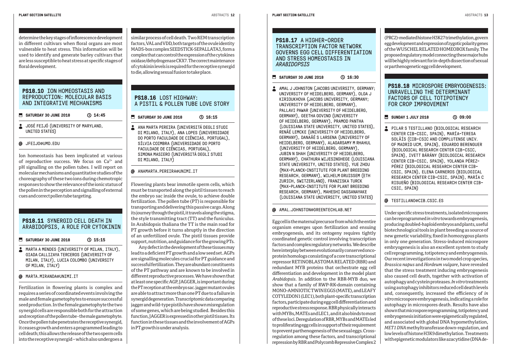determine the key stages of inflorescence development in different cultivars when floral organs are most vulnerable to heat stress. This information will be used to identify and generate barley cultivars that are less susceptible to heat stress at specific stages of floral development.

#### **PS18.10** ION HOMEOSTASIS AND REPRODUCTION: MOLECULAR BASIS AND INTEGRATIVE MECHANISMS

**SATURDAY 30 JUNE 2018** 14:45

- **JOSÉ FEIJÓ (UNIVERSITY OF MARYLAND,** UNITED STATES)
- JFEIJO@UMD.EDU

Ion homeostasis has been implicated at various of reproductive success. We focus on Ca<sup>2+</sup> and pH signalling on the pollen tubes. I will report on molecular mechanisms and quantitative studies of the choreography of these two ions during chemotropic responses to show the relevance of the ionic status of the pollen in the perception and signalling of external cues and correct pollen tube targeting.

#### **PS18.11** SYNERGID CELL DEATH IN ARABIDOPSIS, A ROLE FOR CYTOKININ

- **SATURDAY 30 JUNE 2018 C** 15:15
- MARTA A MENDES (UNIVERSITY OF MILAN, ITALY), GIADA CALLIZAYA TERCEROS (UNIVERSITY OF MILAN, ITALY), LUCIA COLOMBO (UNIVERSITY OF MILAN, ITALY)
- MARTA.MIRANDA@UNIMI.IT

Fertilization in flowering plants is complex and requires a series of coordinated events involving the male and female gametophytes to ensure successful seed production. In the female gametophyte the two synergid cells are responsible both for the attraction and reception of the pollen tube - the male gametophyte. Once the pollen tube penetrates the receptive synergid, it ceases growth and enters a programmed leading to cell death; this allows the release of the two sperm cells into the receptive synergid – which also undergoes a similar process of cell death. Two REM transcription factors, VAL and VDD, both targets of the ovule identity MADS-box complex SEEDSTICK-SEPALLATA3, form a complex that can control the expression of the cytokines oxidase/dehydrogenase CKX7. The correct maintenance of cytokinin levels is required for the receptive synergid to die, allowing sexual fusion to take place.

#### **PS18.16** LOST HIGHWAY: A PISTIL & POLLEN TUBE LOVE STORY

**SATURDAY 30 JUNE 2018** 16:15

ANA MARTA PEREIRA (UNIVERSITÁ DEGLI STUDI DI MILANO, ITALY), ANA LOPES (UNIVERSIDADE DO PORTO FACULDADE DE CIÊNCIAS, PORTUGAL), SÍLVIA COIMBRA (UNIVERSIDADE DO PORTO FACULDADE DE CIÊNCIAS, PORTUGAL), SIMONA MASIERO (UNIVERSITÁ DEGLI STUDI DI MILANO, ITALY)

#### ANAMARTA.PEREIRA@UNIMI.IT

Flowering plants bear immotile sperm cells, which must be transported along the pistil tissues to reach the embryo sac inside the ovule, to achieve double fertilization. The pollen tube (PT) is responsible for transporting and delivering this passive cargo. Along its journey through the pistil, it travels along the stigma, the style transmitting tract (TT) and the funiculus. In Arabidopsis thaliana the TT is the main road for PT growth before it turns abruptly in the direction of an unfertilized ovule. The pistil tissues provide support, nutrition, and guidance for the growing PTs.

Any defect in the development of these tissues may lead to a deficient PT growth and a low seed set. AGPs are signalling molecules crucial for PT guidance and successful fertilization. They are abundant constituents of the PT pathway and are known to be involved in different reproductive processes. We have shown that at least one specific AGP, JAGGER, is important during the PT reception at the embryo sac. jagger mutant ovules are able to attract more than one PT due to a failure in synergid degeneration. Transcriptomic data comparing jagger and wild-type pistils have shown misregulation of some genes, which are being studied. Besides this function, JAGGER is expressed in other pistil tissues. Its function in these tissues and the involvement of AGPs in PT growth is under analysis.

GOVERNS EGG CELL DIFFERENTIATION AND STRESS HOMEOSTASIS IN *ARABIDOPSIS*

#### **SATURDAY 30 JUNE 2018** 16:30

AMAL J JOHNSTON (JACOBS UNIVERSITY, GERMANY; UNIVERSITY OF HEIDELBERG, GERMANY), OLGA J KIRIOUKHOVA (JACOBS UNIVERSITY, GERMANY; UNIVERSITY OF HEIDELBERG, GERMANY), PALLAVI PAWAR (UNIVERSITY OF HEIDELBERG, GERMANY), GEETHA GOVIND (UNIVERSITY OF HEIDELBERG, GERMANY), PRAMOD PANTHA (LOUISIANA STATE UNIVERSITY, UNITED STATES), RENÃÉ LEMCKE (UNIVERSITY OF HEIDELBERG, GERMANY), DANAÃÉ S LARSENA (UNIVERSITY OF HEIDELBERG, GERMANY), ALAGARSAMY M RHAHUL (UNIVERSITY OF HEIDELBERG, GERMANY), JUBIN N SHAH (UNIVERSITY OF HEIDELBERG, GERMANY), CHATHURA WIJESINGHEGE (LOUISIANA STATE UNIVERSITY, UNITED STATES), YUE ZHOU (MAX-PLANCK-INSTITUTE FOR PLANT BREEDING RESEARCH, GERMANY), WILHELM GRUISSEM (ETH ZURICH, SWITZERLAND), FRANZISKA TURCK (MAX-PLANCK-INSTITUTE FOR PLANT BREEDING RESEARCH, GERMANY), MAHESHI DASSANAYAKE (LOUISIANA STATE UNIVERSITY, UNITED STATES)

#### AMAL.JOHNSTON@GREENTECHLAB.NET

Egg cell is the maternal precursor from which the entire organism emerges upon fertilization and ensuing embryogenesis, and its ontogeny requires tightly coordinated genetic control involving transcription factors and complex regulatory networks. We describe here interplay between evolutionarily conserved oncoprotein homologs consisting of a core transcriptional repressor RETINOBLASTOMA RELATED (RBR) and redundant MYB proteins that orchestrate egg cell differentiation and development in the model plant *Arabidopsis*. In addition to the RBR-MYB duo, we show that a family of RWP-RK-domain containing MONO-AMNIOTIC TWIN EGGS (MATE), and LEAFY COTYLEDON1 (LEC1), both plant-specific transcription factors, participate during egg cell differentiation and reproductive stress response. RBR physically interacts with MYBs, MATEs and LEC1, and it also binds to most of these loci. Deregulation of RBR, MYBs and MATEs led to proliferating egg cells in support of their requirement to prevent parthenogenesis of the sexual eggs. Crossregulation among these factors, and transcriptional repression by RBR and Polycomb Repressive Complex 2

(PRC2)-mediated histone H3K27 trimethylation, govern egg development and expression of zygotic polarity genes of the WUSCHEL RELATED HOMEOBOX family. The proposed regulatory model connecting these major hubs will be highly relevant for in-depth dissection of sexual or parthenogenetic egg cell development.

#### **PS18.18** MICROSPORE EMBRYOGENESIS: UNRAVELLING THE DETERMINANT FACTORS OF CELL TOTIPOTENCY FOR CROP IMPROVEMENT

- **SUNDAY 1 JULY 2018** 09:00
- PILAR S TESTILLANO (BIOLOGICAL RESEARCH CENTER CIB-CSIC, SPAIN), MARÍA-TERESA SOLÃÍS (CIB-CSIC AND COMPLUTENSE UNIV. OF MADRID UCM, SPAIN), EDUARDO BERENGUER (BIOLOGICAL RESEARCH CENTER CIB-CSIC, SPAIN), IVETT BÁRÁNY (BIOLOGICAL RESEARCH CENTER CIB-CSIC, SPAIN), YOLANDA PÉREZ-PÉREZ (BIOLOGICAL RESEARCH CENTER CIB-CSIC, SPAIN), ELENA CARNEROS (BIOLOGICAL RESEARCH CENTER CIB-CSIC, SPAIN), MARÍA C RISUEÑO (BIOLOGICAL RESEARCH CENTER CIB-CSIC, SPAIN)

#### **@** TESTILLANO@CIB.CSIC.ES

Under specific stress treatments, isolated microspores can be reprogrammed *in vitro* towards embryogenesis, producing doubled-haploid embryos and plants, useful biotechnological tools in plant breeding as source of new genetic variability, fixed in homozygous plants in only one generation. Stress-induced microspore embryogenesis is also an excellent system to study cell reprogramming, totipotency and embryogenesis. Our recent investigations in two model crop species, *Brassica napus* and *Hordeum vulgare*, have revealed that the stress treatment inducing embryogenesis also caused cell death, together with activation of autophagy and cystein proteases. *In vitro* treatments using autophagy inhibitors reduced cell death levels and, consequently, increased the efficiency of *in vitro* microspore embryogenesis, indicating a role for autophagy in microspores death. Results have also shown that microspore reprogramming, totipotency and embryogenesis initiation were epigenetically regulated, and associated with global DNA hypomethylation, *MET1 DNA* methyltransferase down-regulation, and low levels of histone H3K9 dimethylation. Treatments with epigenetic modulators like azacytidine (DNA de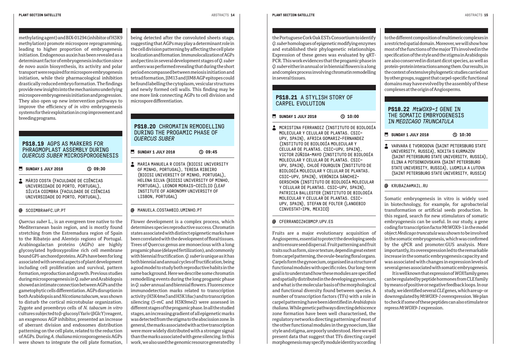methylating agent) and BIX-01294 (inhibitor of H3K9 methylation) promote microspore reprogramming, leading to higher proportion of embryogenesis initiation. Endogenous auxin has been revealed as a determinant factor of embryogenesis induction since de novo auxin biosynthesis, its activity and polar transport were required for microspore embryogenesis initiation, while their pharmacological inhibition drastically reduced embryo formation. The findings provide new insights into the mechanisms underlying microspore embryogenesis initiation and progression. They also open up new intervention pathways to improve the efficiency of *in vitro* embryogenesis systems for their exploitation in crop improvement and breeding programs.

#### **PS18.19** AGPS AS MARKERS FOR PHRAGMOPLAST ASSEMBLY DURTNG *QUERCUS SUBER* MICROSPOROGENESIS

**SUNDAY 1 JULY 2018** 09:30

**A MÁRIO COSTA (FACULDADE DE CIÊNCIAS** UNIVERSIDADE DO PORTO, PORTUGAL), SÍLVIA COIMBRA (FACULDADE DE CIÊNCIAS UNIVERSIDADE DO PORTO, PORTUGAL),

#### **@** SCOTMBRA@FC.UP.PT

*Quercus suber* L., is an evergreen tree native to the Mediterranean basin region, and is mostly found stretching from the Estremadura region of Spain to the Ribatejo and Alentejo regions of Portugal. Arabinogalactan proteins (AGPs) are highly glycosylated hydroxyproline rich cell membrane bound GPI-anchored proteins. AGPs have been for long associated with several aspects of plant development including cell proliferation and survival, pattern formation, reproduction and growth. Previous studies during microsporogenesis in Q. *suber* and Arabidopsis showed an intimate connection between AGPs and the gametophytic cells differentiation. AGPs disruption in both Arabidopsis and *Nicotiana tabacum*, was shown to disturb the cortical microtubular organization. Zygote and proembryo cells of *N. tabacum in vitro* cultures subjected to β-glucosyl Yariv (βGlcY) reagent, an exogenous AGP inhibitor, presented an increase of aberrant division and endosomes distribution patterning on the cell plate, related to the reduction of AGPs. During *A. thaliana* microsporogenesis AGPs were shown to integrate the cell plate formation, being detected after the convoluted sheets stage, suggesting that AGPs may play a determinant role in the cell division patterning by affecting the cell plate localization and formation. Immunolocalization of AGPs and pectins in several development stages of *Q. suber* anthers was performed revealing that during the short period encompassed between meiosis initiation and tetrad formation, JIM13 and JIM8 AGP epitopes could be found labelling the cytoplasm, vesicular structures and newly formed cell walls. This finding may be one more link connecting AGPs to cell division and microspore differentiation.

#### **PS18.20 CHROMATIN REMODELLING** DURING THE PROGAMIC PHASE OF *QUERCUS SUBER*

- **SUNDAY 1 JULY 2018** (2) 09:45
- **MARIA MANUELA R COSTA (BIOISI UNIVERSITY** OF MINHO, PORTUGAL), TERESA RIBEIRO (BIOISI UNIVERSITY OF MINHO, PORTUGAL), HELENA SILVA (BIOISI UNIVERSITY OF MINHO, PORTUGAL), LEONOR MORAIS-CECÍLIO (LEAF INSTITUTE OF AGRONOMY UNIVERSITY OF LISBON, PORTUGAL)

#### MANUELA.COSTA@BIO.UMINHO.PT

Flower development is a complex process, which determines species reproductive success. Chromatin states associated with distinct epigenetic marks have been correlated with the development of floral tissues. Trees of Quercus genus are monoecious with a long progamic phase (delayed fertilization), and commonly with biennial fructification. *Q. suber* is unique as it has both biennial and annual cycles of fructification, being a good model to study both reproductive habits in the same background. Here we describe some chromatin remodelling events during the long progamic phase in *Q. suber* annual and biennial flowers. Fluorescence immunodetection marks related to transcription activity (H3K4me3 and H3K18ac) and to transcription silencing (5-mC and H3K9me2) were assessed in different stages of the progamic phase. In all the studied stages, an increasing gradient of all epigenetic marks was detected from the stigma to the abscission zone. In general, the marks associated with active transcription were more widely distributed with a stronger signal than the marks associated with gene silencing. In this work, we also used the genomic resource generated by the Portuguese Cork Oak ESTs Consortium to identify *Q. suber* homologues of epigenetic modifying enzymes and established their phylogenetic relationships. Expression of these genes was evaluated by qRT-PCR. This work evidences that the progamic phase in *Q. suber* either in annual or in biennial flowers is a long and complex process involving chromatin remodelling in several tissues.

#### **PS18.21** A STYLISH STORY OF CARPEL EVOLUTION

**SUNDAY 1 JULY 2018** ( 0 10:00

 MCRISTINA FERRANDIZ (INSTITUTO DE BIOLOGÍA MOLECULAR Y CELULAR DE PLANTAS. CSIC-UPV, SPAIN), AFRICA GOMARIZ-FERNANDEZ (INSTITUTO DE BIOLOGÍA MOLECULAR Y CELULAR DE PLANTAS. CSIC-UPV, SPAIN), VICTOR ZÚÑIGA-MAYO (INSTITUTO DE BIOLOGÍA MOLECULAR Y CELULAR DE PLANTAS. CSIC-UPV, SPAIN), CHLOÈ FOURQUIN (INSTITUTO DE BIOLOGÍA MOLECULAR Y CELULAR DE PLANTAS. CSIC-UPV, SPAIN), VERÓNICA SÁNCHEZ-GERSCHON (INSTITUTO DE BIOLOGÍA MOLECULAR Y CELULAR DE PLANTAS. CSIC-UPV, SPAIN), PATRICIA BALLESTER (INSTITUTO DE BIOLOGÍA MOLECULAR Y CELULAR DE PLANTAS. CSIC-UPV, SPAIN), STEFAN DE FOLTER (LANGEBIO CINVESTAT-IPN, MEXICO)

#### CFERRANDIZ@IBMCP.UPV.ES

Fruits are a major evolutionary acquisition of Angiosperms, essential to protect the developing seeds and to ensure seed dispersal. Fruit patterning and fruit traits such as form, size or texture, depend in great extent from carpel patterning, the ovule-bearing floral organs. Carpels form the gynoecium, organised in a structure of functional modules with specific roles. Our long-term goal is to understand how these modules are specified and spatially distributed in the developing gynoecium, and what is the molecular basis of the morphological and functional diversity found between species. A number of transcription factors (TFs) with a role in carpel patterning have been identified in *Arabidopsis thaliana*. While genetic pathways directing dehiscence zone formation have been well characterised, the regulatory networks directing patterning of most of the other functional modules in the gynoecium, like style and stigma, are poorly understood. Here we will present data that suggest that TFs directing carpel morphogenesis may specify module identity according to the different composition of multimeric complexes in a restricted spatial domain. Moreover, we will show how most of the functions of the major TFs involved in the specification of the style and the stigma in Arabidopsis are also conserved in distant dicot species, as well as protein-protein interactions among them. Our results, in the context of extensive phylogenetic studies carried out by other groups, suggest that carpel-specific functional domains may have evolved by the assembly of these complexes at the origin of Angiosperms.

#### **PS18.22** *MtWOX9-1* GENE IN THE SOMATIC EMBRYOGENESIS IN *MEDICAGO TRUNCATULA*

#### **SUNDAY 1 JULY 2018 C** 10:30

**2** VARVARA E TVOROGOVA (SAINT PETERSBURG STATE UNIVERSITY, RUSSIA), NIKITA S KURMAZOV (SAINT PETERSBURG STATE UNIVERSITY, RUSSIA), ELINA A POTSENKOVSKAYA (SAINT PETERSBURG STATE UNIVERSITY, RUSSIA), LUDMILA A LUTOVA (SAINT PETERSBURG STATE UNIVERSITY, RUSSIA)

#### @ KRUBAZA@MAIL.RU

Somatic embryogenesis in vitro is widely used in biotechnology, for example, for agrobacterial transformation or artificial seeds production. In this regard, search for new stimulators of somatic embryogenesis can be useful. In our study, a gene coding for transcription factor MtWOX9-1 in the model object *Medicago truncatula* was shown to be involved in the somatic embryogenesis, which was confirmed by the qPCR and promoter:GUS analysis. More importantly, its overexpression led to the remarkable increase in the somatic embryogenesis capacity and was associated with changes in expression levels of several genes associated with somatic embryogenesis.

It is well known that expression of *WOX* family genes can be regulated by peptide hormones from CLE family by means of positive or negative feedback loops. In our study, we identified several *CLE* genes, which are up- or downregulated by *MtWOX9-1* overexpression. We plan to check if some of these peptides can also stimulate or repress *MtWOX9-1* expression.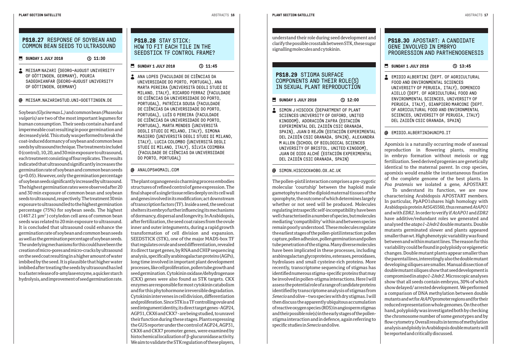#### **SUNDAY 1 JULY 2018 311:30**

**A** MEISAM NAZARI (GEORG-AUGUST UNIVERSITY OF GÖTTINGEN, GERMANY), POURIA SADEGHIANFAR (GEORG-AUGUST UNIVERSITY OF GÖTTINGEN, GERMANY)

#### MEISAM.NAZARI@STUD.UNI-GOETTINGEN.DE

Soybean *(Glycine max L.)* and common bean *(Phaseolus vulgaris)* are two of the most important legumes for human consumption. Their seeds contain a hard and impermeable coat resulting in poor germination and decreased yield. This study was performed to break the coat-induced dormancy of soybean and common bean seeds by ultrasound technique. The treatments included 0 (control), 10, 20, and 30 min exposure to ultrasound, each treatment consisting of four replicates. The results indicated that ultrasound significantly increases the germination rate of soybean and common bean seeds (p<0.05). However, only the germination percentage of soybean seeds significantly increased by ultrasound. The highest germination rates were observed after 20 and 30 min exposure of common bean and soybean seeds to ultrasound, respectively. The treatment 30 min exposure to ultrasound led to the highest germination percentage (75%) for soybean seeds. The highest (1467.21 µm2 ) cotyledon cell area of common bean seeds was related to 20 min exposure to ultrasound. It is concluded that ultrasound could enhance the germination rate of soybean and common bean seeds as well as the germination percentage of soybean seeds. The underlying mechanisms for this could have been the creation of micro-pores and micro-cracks by ultrasound on the seed coat resulting in a higher amount of water imbibed by the seed. It is plausible that higher water imbibed after treating the seeds by ultrasound has led to a faster release of α-amylase enzyme, a quicker starch hydrolysis, and improvement of seed germination rate.

#### **PS18.28** STAY STICK: HOW TO FIT EACH TILE IN THE SEEDSTICK TF CONTROL FRAME?

**SUNDAY 1 JULY 2018** 11:45

ANA LOPES (FACULDADE DE CIÊNCIAS DA UNIVERSIDADE DO PORTO, PORTUGAL), ANA MARTA PEREIRA (UNIVERSITÀ DEGLI STUDI DI MILANO, ITALY), RICARDO FERRAZ (FACULDADE DE CIÊNCIAS DA UNIVERSIDADE DO PORTO, PORTUGAL), PATRÍCIA SOUSA (FACULDADE DE CIÊNCIAS DA UNIVERSIDADE DO PORTO, PORTUGAL), LUÍS G PEREIRA (FACULDADE DE CIÊNCIAS DA UNIVERSIDADE DO PORTO, PORTUGAL), MARTA MENDES (UNIVERSITÀ DEGLI STUDI DI MILANO, ITALY), SIMONA MASIERO (UNIVERSITÀ DEGLI STUDI DI MILANO, ITALY), LUCIA COLOMBO (UNIVERSITÀ DEGLI STUDI DI MILANO, ITALY), SÍLVIA COIMBRA (FACULDADE DE CIÊNCIAS DA UNIVERSIDADE DO PORTO, PORTUGAL)

#### @ ANALOPS@GMAIL.COM

The plant organogenesis charming process embodies structures of refined control of gene expression. The final shape of a single tissue relies deeply on its cell wall and genes involved in its modification; act downstream of transcription factors (TF). Inside a seed, the seed coat shelters its embryo further influencing its mechanisms of dormancy, dispersal and longevity. In Arabidopsis, after fertilization, the seed coat raises from the ovule inner and outer integuments, during a rapid growth transformation of cell division and expansion. SEEDSTICK (STK), one of the major MADS-box TF that regulates ovule and seed differentiation, revealed its direct target genes, by RNA and CHIP sequencing analysis, specifically arabinogalactan proteins (AGPs), long time involved in important plant development processes, like cell proliferation, pollen tube growth and seed germination. Cytokinin oxidase/dehydrogenase (CKX) genes were also found as STK targets. CKX enzymes are responsible for most cytokinin catabolism and for this phytohormone irreversible degradation. Cytokinin intervenes in cell division, differentiation and proliferation. Since STK is a TF controlling ovule and seed integument identity, its direct target genes - AGP24, AGP31, CKX6 and CKX7 - are being studied, to unravel their function during these stages. Plants expressing the GUS reporter under the control of AGP24, AGP31, CKX6 and CKX7 promoter genes, were examined by histochemical localization of β-glucuronidase activity. We aim to validate the STK regulation of these players,

understand their role during seed development and clarify the possible crosstalk between STK, these sugar signalling molecules and cytokinin.

#### **PS18.29** STIGMA SURFACE COMPONENTS AND THEIR ROLE(S) IN SEXUAL PLANT REPRODUCTION

**SUNDAY 1 JULY 2018** 12:00

SIMON J HISCOCK (DEPARTMENT OF PLANT SCIENCES UNIVERSITY OF OXFORD, UNITED KINGDOM), ADORACIÓN ZAFRA (ESTACIÓN EXPERIMENTAL DEL ZAIDÍN CSIC GRANADA, SPAIN), JUAN D REJÓN (ESTACIÓN EXPERIMENTAL DEL ZAIDÍN CSIC GRANADA, SPAIN), ALEXANDRA M ALLEN (SCHOOL OF BIOLOGICAL SCIENCES UNIVERSITY OF BRISTOL, UNITED KINGDOM), JUAN DE DIOS ALCHÉ (ESTACIÓN EXPERIMENTAL DEL ZAIDÍN CSIC GRANADA, SPAIN)

#### @ SIMON.HISCOCK@OBG.OX.AC.UK

The pollen-pistil interaction comprises a pre-zygotic molecular 'courtship' between the haploid male gametophyte and the diploid maternal tissues of the sporophyte, the outcome of which determines largely whether or not seed will be produced. Molecules regulating intraspecific self-incompatibility have been well characterised in a number of species, but molecules mediating 'compatibility' within and between species remain poorly understood. These molecules regulate the earliest stages of the pollen-pistil interaction: pollen capture, pollen adhesion, pollen germination and pollen tube penetration of the stigma. Many diverse molecules have been implicated in these processes, including arabinogalactan glycoproteins, esterases, peroxidases, hydrolases and small cysteine-rich proteins. More recently, transcriptome sequencing of stigmas has identified numerous stigma-specific proteins that may be involved in pollen-stigma interactions. Here I will assess the potential role of a range of candidate proteins identified by transcriptome analysis of stigmas from *Senecio* and olive – two species with dry stigmas. I will then discuss the apparently ubiquitous accumulation of reactive oxygen species (ROS) in angiosperm stigmas and their possible role(s) in the early stages of the pollenstigma interaction and in defence, again referring to specific studies in *Senecio* and olive.

#### **PS18.30** APOSTART: A CANDIDATE GENE INVOLVED IN EMBRYO PROGRESSION AND PARTHENOGENESIS

#### SUNDAY 1 JULY 2018 **13:45**

EMIDIO ALBERTINI (DEPT. OF AGRICULTURAL FOOD AND ENVIRONMENTAL SCIENCES UNIVERSITY OF PERUGIA, ITALY), DOMENICO AIELLO (DEPT. OF AGRICULTURAL FOOD AND ENVIRONMENTAL SCIENCES, UNIVERSITY OF PERUGIA, ITALY), GIANPIERO MARCONI (DEPT. OF AGRICULTURAL FOOD AND ENVIRONMENTAL SCIENCES, UNIVERSITY OF PERUGIA, ITALY) DEL ZAIDÍN CSIC GRANADA, SPAIN)

#### EMIDIO.ALBERTINI@UNIPG.IT

Apomixis is a naturally occurring mode of asexual reproduction in flowering plants, resulting in embryo formation without meiosis or egg fertilization. Seed derived progenies are genetically identical to the maternal parent. In crop species, apomixis would enable the instantaneous fixation of the complete genome of the best plants. In *Poa pratensis* we isolated a gene, APOSTART.

To understand its function, we are now characterising Arabidopsis APOSTART members. In particular, PpAPO1shares high homology with Arabidopsis protein At5G45560, thus renamed *AtAPO1* and with *EDR2*. In order to verify if *AtAPO1* and *EDR2* have additive/redundant roles we generated and analysed the *atapo1-2/edr2* double mutants. Double mutants germinated slower and plants appeared smaller than wt. High phenotypic variability was found between and within mutant lines. The reason for this variability could be found in polyploidy or epigenetic changes. Double mutant plants appear smaller than the parental lines, interestingly also the double mutant developing siliques are smaller. Manual dissection of double mutant siliques show that seed development is compromised in *atapo1-2/edr2*. Microscopic analyses show that all seeds contain embryos, 30% of which show delayed/ arrested development. We performed a comparison of DNA methylation between double mutants and wt for *AtAPO* promoter regions and for their reduced representation whole genomes. On the other hand, polyploidy was investigated both by checking the chromosome number of some genotypes and by flow cytometry. Overall results in terms of methylation analysis and ploidy in Arabidopsis double mutants will be reported and critically discussed.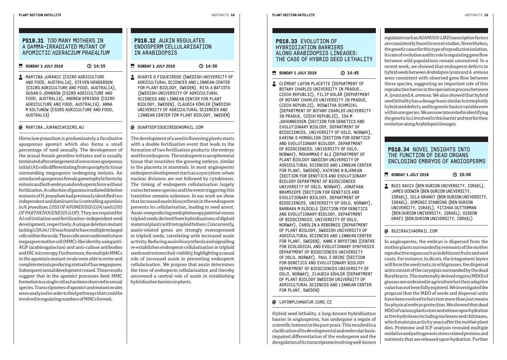#### **PS18.31** TOO MANY MOTHERS IN A GAMMA-IRRADIATED MUTANT OF APOMICTIC *HIERACIUM PRAEALTUM*

#### SUNDAY 1 JULY 2018 **14:15**

**MARTINA JURANIC (CSIRO AGRICULTURE** AND FOOD, AUSTRALIA), STEVEN HENDERSON (CSIRO AGRICULTURE AND FOOD, AUSTRALIA), SUSAN D JOHNSON (CSIRO AGRICULTURE AND FOOD, AUSTRALIA), ANDREW SPRIGGS (CSIRO AGRICULTURE AND FOOD, AUSTRALIA), ANNA M KOLTUNOW (CSIRO AGRICULTURE AND FOOD, AUSTRALIA)

#### @ MARTINA.JURANIC@CSIRO.AU

*Hieracium praealtum* is predominately a facultative aposporous apomict which also forms a small percentage of seed sexually. The development of the sexual female germline initiates and is usually terminated after enlargement of one or more aposporous initial (AI) cells differentiating from sporophytic tissue surrounding megaspores undergoing meiosis. An unreduced aposporous female gametophyte forms by mitosis and both embryo and endosperm form without fertilization. A collection of gamma irradiated deletion mutants of *H. praealtum* had previously identified two independent and dominant loci controlling apomixis in *H. praealtum, LOSS OF APOMEIOSIS (LOA)* and *LOSS OF PARTHENOGENESIS (LOP)*. They are required for AI cell initiation and fertilization-independent seed development, respectively. A unique deletion mutant lacking LOA *(m119)* was found to have multiple enlarged cells within the ovule. These cells were confirmed to have megaspore mother cell (MMC)-like identity using anti-AGP (arabinogalactan) and anti-callose antibodies and DIC microscopy. Furthermore, the multiple MMCs in the apomixis mutant ovule were able to enter and complete meiosis producing a tetrad of four megaspores. Subsequent sexual development ceased. These results suggest that in the apomict processes limit MMC formation to a single cell as has been observed in sexual species. Transcriptomes of apomict and mutant ovules were analysed in order to find pathways that could be involved in regulating numbers of MMCs formed.

#### **PS18.32** AUXIN REGULATES ENDOSPERM CELLULARISATION IN ARABIDOPSIS

**SUNDAY 1 JULY 2018 C** 14:30

**L** DUARTE D FIGUEIREDO (SWEDISH UNIVERSITY OF AGRICULTURAL SCIENCES AND LINNEAN CENTER FOR PLANT BIOLOGY, SWEDEN), RITA A BATISTA (SWEDISH UNIVERSITY OF AGRICULTURAL SCIENCES AND LINNEAN CENTER FOR PLANT BIOLOGY, SWEDEN), CLAUDIA KÖHLER (SWEDISH UNIVERSITY OF AGRICULTURAL SCIENCES AND LINNEAN CENTER FOR PLANT BIOLOGY, SWEDEN)

#### @ DUARTEDFIGUEIREDO@GMAIL.COM

The development of a seed in flowering plants starts with a double fertilisation event that leads to the formation of two fertilisation products: the embryo and the endosperm. The endosperm is an ephemeral tissue that nourishes the growing embryo, similar to the placenta in mammals. In most angiosperms endosperm development starts as a syncytium, where nuclear divisions are not followed by cytokinesis. The timing of endosperm cellularisation largely varies between species and the event triggering this transition remains unknown. In our work we show that increased auxin biosynthesis in the endosperm prevents its cellularisation, leading to seed arrest. Auxin-overproducing seeds phenocopy paternal-excess triploid seeds derived from hybridisations of diploid maternal plants with tetraploid fathers. Concurrently, auxin-related genes are strongly overexpressed in triploid seeds, correlating with increased auxin activity. Reducing auxin biosynthesis and signalling re-establishes endosperm cellularisation in triploid seeds and restores their viability, highlighting a causal role of increased auxin in preventing endosperm cellularisation. We propose that auxin determines the time of endosperm cellularisation and thereby uncovered a central role of auxin in establishing hybridisation barriers in plants.

#### **PS18.33** EVOLUTION OF HYBRIDIZATION BARRIERS ALONG ARABIDOPSIS LINEAGES: THE CASE OF HYBRID SEED LETHALITY

#### SUNDAY 1 JULY 2018 **3** 14:45

**CLÉMENT LAFON PLACETTE (DEPARTMENT OF** BOTANY CHARLES UNIVERSITY IN PRAGUE, CZECH REPUBLIC), FILIP KOLÁŘ (DEPARTMENT OF BOTANY CHARLES UNIVERSITY IN PRAGUE, CZECH REPUBLIC), ROSWITHA SCHMICKL (DEPARTMENT OF BOTANY CHARLES UNIVERSITY IN PRAGUE, CZECH REPUBLIC), IDA M JOHANNESSEN (SECTION FOR GENETICS AND EVOLUTIONARY BIOLOGY, DEPARTMENT OF BIOSCIENCES, UNIVERSITY OF OSLO, NORWAY), KARINA S HORNSLIEN (SECTION FOR GENETICS AND EVOLUTIONARY BIOLOGY, DEPARTMENT OF BIOSCIENCES, UNIVERSITY OF OSLO, NORWAY), MOHAMMAD F ALI (DEPARTMENT OF PLANT BIOLOGY SWEDISH UNIVERSITY OF AGRICULTURAL SCIENCES AND LINNEAN CENTER FOR PLANT, SWEDEN), KATRINE N BJERKAN (SECTION FOR GENETICS AND EVOLUTIONARY BIOLOGY DEPARTMENT OF BIOSCIENCES UNIVERSITY OF OSLO, NORWAY), JONATHAN BRAMSIEPE (SECTION FOR GENETICS AND EVOLUTIONARY BIOLOGY, DEPARTMENT OF BIOSCIENCES, UNIVERSITY OF OSLO, NORWAY), BARBARA M GLÖCKLE (SECTION FOR GENETICS AND EVOLUTIONARY BIOLOGY, DEPARTMENT OF BIOSCIENCES, UNIVERSITY OF OSLO, NORWAY), CAROLIN A REBERNIG (DEPARTMENT OF PLANT BIOLOGY, SWEDISH UNIVERSITY OF AGRICULTURAL SCIENCES AND LINNEAN CENTER FOR PLANT, SWEDEN), ANNE K BRYSTING (CENTRE FOR ECOLOGICAL AND EVOLUTIONARY SYNTHESIS DEPARTMENT OF BIOSCIENCES UNIVERSITY OF OSLO, NORWAY), PAUL E GRINI (SECTION FOR GENETICS AND EVOLUTIONARY BIOLOGY DEPARTMENT OF BIOSCIENCES UNIVERSITY OF OSLO, NORWAY), CLAUDIA KÖHLER (DEPARTMENT OF PLANT BIOLOGY SWEDISH UNIVERSITY OF AGRICULTURAL SCIENCES AND LINNEAN CENTER FOR PLANT, SWEDEN)

#### **Q** LAFONPLC@NATUR.CUNT.CZ

Hybrid seed lethality, a long-known hybridisation barrier in angiosperms, has undergone a regain of scientific interest in the past years. This resulted in a clarification of its developmental and molecular basis: impaired differentiation of the endosperm and the deregulation of its transcriptome involving well-known

regulators such as *AGAMOUS-LIKE* transcription factors are consistently found in recent studies. Nevertheless, the genetic cause for this type of reproductive isolation, its rate of evolution and its role in regulating gene flow between wild populations remain unresolved. In a recent work, we showed that endosperm defects in hybrid seeds between *Arabidopsis lyrata* and *A. arenosa* were consistent with observed gene flow between these species, suggesting an important role of this reproductive barrier in the speciation process between *A. lyrata* and *A. arenosa*. We also showed that hybrid seed lethality has a dosage basis similar to interploidy hybrid seed defects, and its genetic basis is variable even within one species. We are now interested in identifying the genetic loci involved in this barrier and test for their evolution along Arabidopsis lineages.

#### **PS18.34** NOVEL INSIGHTS INTO THE FUNCTION OF DEAD ORGANS ENCLOSING EMBRYOS OF ANGIOSPERMS

#### **SUNDAY 1 JULY 2018 C** 15:00

BUZI RAVIV (BEN GURION UNIVERSITY, ISRAEL), JAMES GODWIN (BEN GURION UNIVERSITY, ISRAEL), GILA GRANOT (BEN GURION UNIVERSITY, ISRAEL), DOMINIC STANDING (BEN GURION UNIVERSITY, ISRAEL), YITZHAK GUTTERMAN (BEN GURION UNIVERSITY, ISRAEL), GIDEON GRAFI (BEN GURION UNIVERSITY, ISRAEL)

#### @ BUZIRAVIV@GMAIL.COM

In angiosperms, the embryo is dispersed from the mother plants surrounded by remnants of the mother reproductive organs such as indehiscent fruits and seed coats. For instance, in dicots, the integument layers will form the seed coats; in wild grasses, the dispersal units consist of the caryopsis surrounded by the dead floral bracts. The maternally derived organs (MDO) of grasses are undesired in agriculture but their adaptive value has not been fully explored. We investigated the proposal that the MDO of seeds and dispersal units have been evolved to function more than just means for physical embryo protection. We showed that dead MDO of various plants store and release upon hydration active hydrolases including nucleases and chitinases, which maintain activity years after the mother plant dies. Proteome and ICP analysis revealed multiple oxidative and pathogenesis stress related proteins and nutrients that are released upon hydration. Further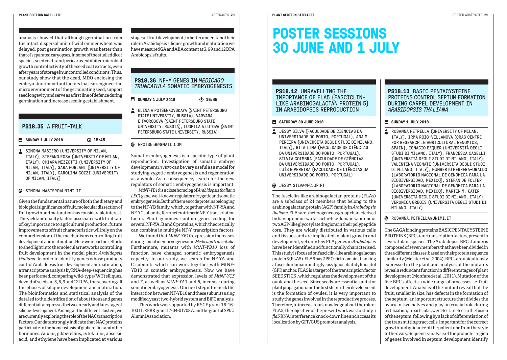analysis showed that although germination from the intact dispersal unit of wild emmer wheat was delayed, post germination growth was better than that of separated caryopses. In some of the studied dicot species, seed coats and pericarps exhibited microbial growth control activity of the seed coat extracts, even after years of storage in uncontrolled conditions. Thus, our study show that the dead, MDO enclosing the embryo store important factors that can engineer the micro environment of the germinating seed; support seed longevity and serve as a first line of defence during germination and increase seedling establishment.

#### **PS18.35** A FRUIT-TALK

**SUNDAY 1 JULY 2018 315:45** 

SIMONA MASIERO (UNIVERSITY OF MILAN, ITALY), STEFANO ROSA (UNIVERSITY OF MILAN, ITALY), CHIARA MIZZOTTI (UNIVERSITY OF MILAN, ITALY), SARA FORLANI (UNIVERSITY OF MILAN, ITALY), CAROLINA COZZI (UNIVERSITY OF MILAN, ITALY)

#### @ STMONA.MASTERO@UNTMT.TT

Given the fundamental nature of both the dietary and biological significance of fruit, molecular dissection of fruit growth and maturation has considerable interest. The yield and quality factors associated with fruits are of key importance to agricultural production, future improvements of fruit characteristics will rely on the comprehension of the mechanisms controlling fruit development and maturation. Here we report our efforts to shed light into the molecular networks controlling fruit development in the model plant *Arabidopsis thaliana*. In order to identify genes whose products control Arabidopsis fruit development and maturation, a transcriptome analysis by RNA-deep-sequencing has been performed, comparing wild-type (WT) siliques, devoid of seeds, at 3, 6, 9 and 12 DPA, thus covering all the phases of silique development and maturation. The bioinformatics and statistical analysis of the data led to the identification of about thousand genes differentially expressed between early and late stage of silique development. Among all the different clusters, we are currently exploring the role of the NAC transcription factors. Our data strongly indicate that NAC proteins participate to the homeostasis of gibberellins and other hormones. Auxins, gibberellins, cytokinins, abscisic acid, and ethylene have been implicated at various

stages of fruit development, to better understand their role in Arabidopsis siliques growth and maturation we have measured GA and ABA content at 3, 6 9 and 12 DPA Arabidopsis fruits.

#### **PS18.36** NF-Y GENES IN *MEDICAGO TRUNCATULA* SOMATTC EMBRYOGENESTS

**SUNDAY 1 JULY 2018** (2015:45

**ELINA A POTSENKOVSKAYA (SAINT PETERSBURG** STATE UNIVERSITY, RUSSIA), VARVARA E TVOROGOVA (SAINT PETERSBURG STATE UNIVERSITY, RUSSIA), LUDMILA A LUTOVA (SAINT PETERSBURG STATE UNIVERSITY, RUSSIA)

#### @ FPOTS556@GMATL.COM

Somatic embryogenesis is a specific type of plant reproduction. Investigation of somatic embryo development *in vitro* can be very useful as a model for studying zygotic embryogenesis and regeneration as a whole. As a consequence, search for the new regulators of somatic embryogenesis is important.

*MtNF-YB10* is a close homolog of *Arabidopsis thaliana LEC1* gene, well-known regulator of zygotic and somatic embryogenesis. Both of them encode proteins belonging to the NF-YB family, which, together with NF-YA and NF-YC subunits, form heterotrimeric NF-Y transcription factor. Plant genomes contain genes coding for several NF-YA, B and C proteins, which theoretically can combine in multiple NF-Y trancription factors.

We found that *MtNF-YB10* expression increases during somatic embryogenesis in *Medicago truncatula*. Furthermore, mutants with *MtNF-YB10* loss of function have changed somatic embryogenesis capacity. In our study, we search for NF-YA and C subunits which can work together with MtNF-YB10 in somatic embryogenesis. Now we have demonstrated that expression levels of *MtNF-YC3* and *7*, as well as *MtNF-YA3* and *8*, increase during somatic embryogenesis. Our next step is to check the interaction between NF-YB10 and these subunits using modified yeast two-hybrid system and BiFC analysis.

This work was supported by RSCF grant 16-16- 10011, RFBR grant 17-04-01708 A and the grant of SPbU Alumni Association.

### **POSTER SESSIONS 30 JUNE AND 1 JULY**

#### **PS18.12 UNRAVELLING THE** IMPORTANCE OF FLA5 (FASCICLIN-LIKE ARABINOGALACTAN PROTEIN 5) IN ARABIDOPSIS REPRODUCTION

#### SATURDAY 30 JUNE 2018

**JESSY SILVA (FACULDADE DE CIÊNCIAS DA** UNIVERSIDADE DO PORTO, PORTUGAL), ANA M PEREIRA (UNIVERSITÁ DEGLI STUDI DI MILANO, ITALY), RITA LIMA (FACULDADE DE CIÊNCIAS DA UNIVERSIDADE DO PORTO, PORTUGAL), SÍLVIA COIMBRA (FACULDADE DE CIÊNCIAS DA UNIVERSIDADE DO PORTO, PORTUGAL), LUÍS G PEREIRA (FACULDADE DE CIÊNCIAS DA UNIVERSIDADE DO PORTO, PORTUGAL)

#### JESSY.SILVA@FC.UP.PT

The fasciclin-like arabinogalactan proteins (FLAs) are a subclass of 21 members that belong to the arabinogalactan protein (AGP) family in *Arabidopsis thaliana*. FLAs are a heterogeneous group characterised by having one or two fasciclin-like domains and one or two AGP-like glycosylated regions in their polypeptide core. They are widely distributed in various cells and tissues and are implicated in plant growth and development, yet only few FLA genes in *Arabidopsis* have been identified and functionally characterised. This study is focused on fasciclin-like arabinogalactan protein 5 (FLA5). FLA5 has 2 PRO-rich domains flanking a fasciclin domain and a glycosylphosphatidylinositol (GPI) anchor. FLA5 is a target of the transcription factor SEEDSTICK, which regulates the development of the ovule and the seed. Since seeds are essential units for plant propagation and the first step in their development is the formation of ovules, it is very important to study the genes involved in the reproductive process. Therefore, to increase our knowledge about the role of FLA5, the objective of the present work was to study a *fla5* RNA interference knock-down line and access its localization by GFP/GUS promoter analysis.

#### **PS18.13** BASIC PENTACYSTEINE PROTEINS CONTROL SEPTUM FORMATION DURING CARPEL DEVELOPMENT IN **ARABIDOPSIS THALIANA**

#### **SUNDAY 1 JULY 2018**

 ROSANNA PETRELLA (UNIVERSITY OF MILAN, ITALY), IRMA ROIG-VILLANOVA (CRAG CENTRE FOR RESEARCH IN AGRICULTURAL GENOMICS, SPAIN), IGNACIO EZQUER (UNIVERSITÀ DEGLI STUDI DI MILANO, ITALY), FRANCESCA CASELLI (UNIVERSITÀ DEGLI STUDI DI MILANO, ITALY), VALENTINA VIGNATI (UNIVERSITÀ DEGLI STUDI DI MILANO, ITALY), HUMBERTO HERRERA-UBALDO (LABORATORIO NACIONAL DE GENÓMICA PARA LA BIODIVERSIDAD, MEXICO), STEFAN DE FOLTER (LABORATORIO NACIONAL DE GENÓMICA PARA LA BIODIVERSIDAD, MEXICO), MARTIN M. KATER (UNIVERSITÀ DEGLI STUDI DI MILANO, ITALY), VERONICA GREGIS (UNIVERSITÀ DEGLI STUDI DI MILANO, ITALY)

#### ROSANNA.PETRELLA@UNIMI.IT

The GAGA binding proteins BASIC PENTACYSTEINE PROTEINS (BPCs) are transcription factors, present in several plant species. The Arabidopsis BPCs family is composed of seven members that have been divided in three different classes, based on their protein sequence similarity (Meister *et al*., 2004). BPCs are ubiquitously expressed in the plant and analysis of the mutants reveal a redundant function in different stages of plant development (Monfared et al., 2011). Mutation of the five BPCs affects a wide range of processes i.e. fruit development. Analysis of the mutant reveal that the fruit, smaller in size, has defects in the formation of the septum, an important structure that divides the ovary in two halves and play an crucial role during fertilization; in particular, we detect a defect in the fusion of the septum, following by a lack of differentiation of the transmitting tract cells, important for the correct growth and guidance of the pollen tube from the style to the ovary. Sequence analysis of the promoter region of genes involved in septum development identify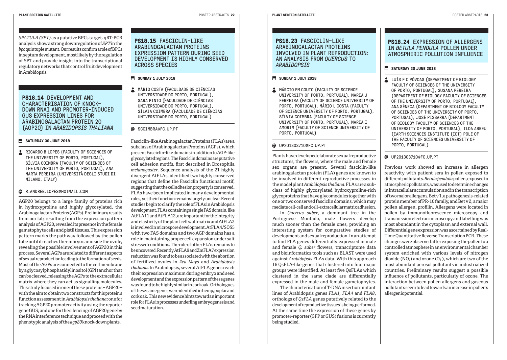*SPATULA (SPT)* as a putative BPCs target. qRT-PCR analysis show a strong downregulation of *SPT* in the *bpc* quintuple mutant. Our results confirm a role of BPCs in septum development, most likely by the regulation of SPT and provide insight into the transcriptional regulatory networks that control fruit development in Arabidopsis.

#### **PS18.14** DEVELOPMENT AND CHARACTERISATION OF KNOCK-DOWN RNAI AND PROMOTER-INDUCED GUS EXPRESSION LINES FOR ARABINOGALACTAN PROTEIN 20 (AGP20) IN *ARABIDOPSIS THALIANA*

#### **SATURDAY 30 JUNE 2018**

**RICARDO B LOPES (FACULTY OF SCIENCES OF** THE UNIVERSITY OF PORTO, PORTUGAL), SÍLVIA COIMBRA (FACULTY OF SCIENCES OF THE UNIVERSITY OF PORTO, PORTUGAL), ANA MARTA PEREIRA (UNIVERSITÀ DEGLI STUDI DI MILANO, ITALY)

#### R.ANDREB.LOPES@HOTMAIL.COM

AGP20 belongs to a large family of proteins rich in hydroxyproline and highly glycosylated, the Arabinogalactan Proteins (AGPs). Preliminary results from our lab, resulting from the expression pattern analysis of AGP20, revealed its presence in the female gametophyte cells and pistil tissues. This expression pattern marks the pathway followed by the pollen tube until it reaches the embryo sac inside the ovule, revealing the possible involvement of AGP20 in this process. Several AGPs are related to different aspects of sexual reproduction leading to the formation of seeds. Most of the AGPs are connected to the cell membrane by a glycosylphosphatidylinositol (GPI) anchor that can be cleaved, releasing the AGPs to the extracellular matrix where they can act as signalling molecules. This study focused in one of these proteins – AGP20 – with the aim to obtain two constructs for this protein's function assessment in *Arabidopsis thaliana*: one for tracking AGP20 promoter activity using the reporter gene GUS; and one for the silencing of AGP20 gene by the RNA interference technique and proceed with the phenotypic analysis of the *agp20* knock-down plants.

#### **PS18.15 FASCICLIN-LIKE** ARABINOGAL ACTAN PROTEINS EXPRESSION PATTERN DURING SEED DEVELOPMENT IS HIGHLY CONSERVED ACROSS SPECIES

#### **SUNDAY 1 JULY 2018**

 MÁRIO COSTA (FACULDADE DE CIÊNCIAS UNIVERSIDADE DO PORTO, PORTUGAL), SARA PINTO (FACULDADE DE CIÊNCIAS UNIVERSIDADE DO PORTO, PORTUGAL), SÍLVIA COIMBRA (FACULDADE DE CIÊNCIAS UNIVERSIDADE DO PORTO, PORTUGAL)

#### **@** SCOTMBRA@FC.UP.PT

Fasciclin-like Arabinogalactan Proteins (FLAs) are a subclass of Arabinogalactan Proteins (AGPs), which present Fasciclin-like domains in addition to AGP-like glycosylated regions. The Fasciclin domains are putative cell adhesion motifs, first described in Drosophila *melanogaster*. Sequence analysis of the 21 highly divergent AtFLAs, identified two highly conserved regions that define the Fasciclin functional motif, suggesting that the cell adhesion property is conserved. FLAs have been implicated in many developmental roles, yet their function remains largely unclear. Recent studies begin to clarify the role of FLAs in Arabidopsis development. FLAs containing a single FAS domain, like AtFLA11 and AtFLA12, are important for the integrity and elasticity of the plant cell wall matrix and AtFLA3 is involved in microspore development. AtFLA4/SOS5 with two FAS domains and two AGP domains has a role in maintaining proper cell expansion under salt stressed conditions. The role of other FLAs remains to be uncovered. Recently AtFLA9 and ZmFLA7 expression reduction was found to be associated with the abortion of fertilized ovules in *Zea Mays* and *Arabidopsis thaliana*. In Arabidopsis, several AtFLA genes reach their expression maximum during embryo and seed development and the expression pattern of these genes was found to be highly similar in cork oak. Orthologues of these same genes were identified in hemp, poplar and cork oak. This new evidence hints toward an important role for FLAs in processes underling embryogenesis and seed maturation.

#### **PLANT SECTION SATELLITE** POSTER ABSTRACTS **23**

#### **PS18.23 FASCICLIN-LIKE** ARABINOGAL ACTAN PROTEINS INVOLVED IN PLANT REPRODUCTION: AN ANALYSIS FROM *QUERCUS* TO *ARABIDOPSIS*

#### **SUNDAY 1 JULY 2018**

**MÁRCIO FM COUTO (FACULTY OF SCIENCE** UNIVERSITY OF PORTO, PORTUGAL), MARIA J FERREIRA (FACULTY OF SCIENCE UNIVERSITY OF PORTO, PORTUGAL), MÁRIO L COSTA (FACULTY OF SCIENCE UNIVERSITY OF PORTO, PORTUGAL), SÍLVIA COIMBRA (FACULTY OF SCIENCE UNIVERSITY OF PORTO, PORTUGAL), MARIA I AMORIM (FACULTY OF SCIENCE UNIVERSITY OF PORTO, PORTUGAL)

#### UP201303710@FC.UP.PT

Plants have developed elaborate sexual reproductive structures, the flowers, where the male and female sex organs are present. Several fasciclin-like arabinogalactan protein (FLA) genes are known to be involved in different reproductive processes in the model plant *Arabidopsis thaliana*. FLAs are a subclass of highly glycosylated hydroxyproline-rich glycoproteins that have glycomodules together with one or two conserved fasciclin domains, which may mediate cell-cell and cell-extracellular matrix adhesion.

In *Quercus suber*, a dominant tree in the Portuguese Montado, male flowers develop much sooner than the female ones, providing an interesting system for comparative studies of development and sexual reproduction. In an attempt to find FLA genes differentially expressed in male and female *Q. suber* flowers, transcriptome data and bioinformatics tools such as BLAST were used against *Arabidopsis* FLAs data. With this approach 16 QsFLA-like genes that clustered into four major groups were identified. At least five QsFLAs which clustered in the same clade are differentially expressed in the male and female gametophytes.

The characterisation of T-DNA insertion mutant lines of Arabidopsis genes *FLA1, FLA4* and *FLA8*, orthologs of *QsFLA* genes putatively related to the development of reproductive tissues is being performed. At the same time the expression of these genes by promoter-reporter (GFP or GUS) fusions is currently being studied.

#### **PS18.24 EXPRESSION OF ALLERGENS** IN *BETULA PENDULA* POLLEN UNDER ATMOSPHERIC POLLUTION INFLUENCE

#### **SATURDAY 30 JUNE 2018**

LUÍS F C PÓVOAS (DEPARTMENT OF BIOLOGY FACULTY OF SCIENCES OF THE UNIVERSITY OF PORTO, PORTUGAL), SUSANA PEREIRA (DEPARTMENT OF BIOLOGY FACULTY OF SCIENCES OF THE UNIVERSITY OF PORTO, PORTUGAL), ANA SÉNECA (DEPARTMENT OF BIOLOGY FACULTY OF SCIENCES OF THE UNIVERSITY OF PORTO, PORTUGAL), JOSÉ PISSARRA (DEPARTMENT OF BIOLOGY FACULTY OF SCIENCES OF THE UNIVERSITY OF PORTO, PORTUGAL), ILDA ABREU (EARTH SCIENCES INSTITUTE (ICT) POLE OF THE FACULTY OF SCIENCES UNIVERSITY OF PORTO, PORTUGAL)

#### UP201303710@FC.UP.PT

Previous work showed an increase in allergen reactivity with patient sera in pollen exposed to different pollutants. *Betula pendula* pollen, exposed to atmospheric pollutants, was used to determine changes in intracellular accumulation and in the transcription of two major allergens, Bet v 1, a pathogenesis-related protein member of PR-10 family, and Bet v 2, a major pollen allergen, profilin. Allergens were located in pollen by immunofluorescence microscopy and transmission electron microscopy and labelling was most abundant in the cytoplasm and external wall. Differential gene expression was ascertained by Real-Time Quantitative Reverse Transcription PCR. These changes were observed after exposing the pollen to a controlled atmosphere in an environmental chamber system enriched with various levels of nitrogen dioxide (NO<sub>2</sub>) and ozone (O<sub>3</sub>), which are two of the most abundant aerosol pollutants in industrialized countries. Preliminary results suggest a possible influence of pollutants, particularly of ozone. The interaction between pollen allergens and gaseous pollutants seem to lead towards an increase in pollen's allergenic potential.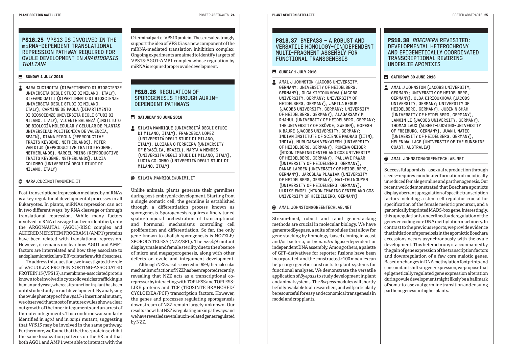#### **SUNDAY 1 JULY 2018**

 $\triangle$  MARA CUCINOTTA (DIPARTIMENTO DI BIOSCIENZE UNIVERSITÀ DEGLI STUDI DI MILANO, ITALY), STEFANO GATTI (DIPARTIMENTO DI BIOSCIENZE UNIVERSITÀ DEGLI STUDI DI MILANO, ITALY), CARMINE DE PAOLA (DIPARTIMENTO DI BIOSCIENZE UNIVERSITÀ DEGLI STUDI DI MILANO, ITALY), VICENTE BALANZÁ (INSTITUTO DE BIOLOGÍA MOLECULAR Y CELULAR DE PLANTAS UNIVERSIDAD POLITÉCNICA DE VALENCIA, SPAIN), DIANA RIGOLA (REPRODUCTIVE TRAITS KEYGENE, NETHERLANDS), PETER VAN DIJK (REPRODUCTIVE TRAITS KEYGENE, NETHERLANDS), MARCEL PRINS (REPRODUCTIVE TRAITS KEYGENE, NETHERLANDS), LUCIA COLOMBO (UNIVERSITÁ DEGLI STUDI DI MILANO, ITALY)

#### **MARA CUCTNOTTA@UNTMITT**

Post-transcriptional repression mediated by miRNAs is a key regulator of developmental processes in all Eukaryotes. In plants, miRNAs repression can act in two different ways: by RNA cleavage or through translational repression. While many factors involved in RNA cleavage has been identified, only the ARGONAUTA1 (AGO1)-RISC complex and ALTERED MERISTEM PROGRAM 1 (AMP1) proteins have been related with translational repression. However, it remains unclear how AGO1 and AMP1 factors are interrelated and how they associate to endoplasmic reticulum (ER) to interfere with ribosomes.

To address this question, we investigated the role of VACUOLAR PROTEIN SORTING-ASSOCIATED PROTEIN 13 (VPS13), a membrane-associated protein known to be involved in cytosolic vesicles trafficking in human and yeast, whereas its function in plant has been until studied only in root development. By analysing the ovule phenotype of the *vps13-1* insertional mutant, we observed that most of mature ovules show a clear outgrowth of the inner integuments and an arrest of the outer integuments. This condition was similarly identified in *ago1* and in *amp1* mutant, suggesting that *VPS13* may be involved in the same pathway. Furthermore, we found that the three proteins exhibit the same localization patterns on the ER and that both AGO1 and AMP1 were able to interact with the C-terminal part of VPS13 protein. These results strongly support the idea of VPS13 as a new component of the miRNA-mediated translation inhibition complex. Ongoing experiments are aimed to identify targets of VPS13-AGO1-AMP1 complex whose regulation by miRNA is required proper ovule development.

#### **PS18.26** REGULATION OF SPOROGENESTS THROUGH AUXIN-DEPENDENT PATHWAYS

#### **SATURDAY 30 JUNE 2018**

SILVIA MANRIQUE (UNIVERSITÁ DEGLI STUDI DI MILANO, ITALY), FRANCESCA LOPEZ (UNIVERSITÁ DEGLI STUDI DI MILANO, ITALY), LUCIANA G FERREIRA (UNIVERSITY OF BRASÍLIA, BRAZIL), MARTA A MENDES (UNIVERSITÁ DEGLI STUDI DI MILANO, ITALY), LUCIA COLOMBO (UNIVERSITÁ DEGLI STUDI DI MILANO, ITALY)

#### @ STIVTA.MANRTOUF@UNTMT.TT

Unlike animals, plants generate their germlines during post-embryonic development. Starting from a single somatic cell, the germline is established through a differentiation process known as sporogenesis. Sporogenesis requires a finely tuned spatio-temporal orchestration of transcriptional and hormonal mechanisms controlling cell proliferation and differentiation. So far, the only gene known to abolish sporogenesis is NOZZLE/ SPOROCYTELESS (NZZ/SPL). The *nzz/spl* mutant displays male and female sterility due to the absence of micro and megasporogenesis, along with other defects on ovule and integument development.

Although NZZ was discovered in 1999, the molecular mechanism of action of NZZ has been reported recently, revealing that NZZ acts as a transcriptional corepressor by interacting with TOPLESS and TOPLESS-LIKE proteins and TCP (TEOSINTE BRANCHED/ CYCLOIDEA/PCF) transcription factors. However, the genes and processes regulating sporogenesis downstream of NZZ remain largely unknown. Our results show that NZZ is regulating auxin pathways and we have revealed several auxin-related genes regulated by NZZ.

#### **PS18.37** BYEPASS - A ROBUST AND VERSATILE HOMOLOGY-(IN)DEPENDENT MULTI-FRAGMENT ASSEMBLY FOR FUNCTIONAL TRANSGENESIS

#### **SUNDAY 1 JULY 2018**

AMAL J JOHNSTON (JACOBS UNIVERSITY, GERMANY; UNIVERSITY OF HEIDELBERG, GERMANY), OLGA KIRIOUKHOVA (JACOBS UNIVERSITY, GERMANY; UNIVERSITY OF HEIDELBERG, GERMANY), JAMILA BEGUM (JACOBS UNIVERSITY, GERMANY; UNIVERSITY OF HEIDELBERG, GERMANY), ALAGARSAMY M RHAHUL (UNIVERSITY OF HEIDELBERG, GERMANY; THE UNIVERSITY OF SKÖVDE, SWEDEN), GOPESH K BAJRE (JACOBS UNIVERSITY, GERMANY; INDIAN INSTITUTE OF SCIENCE MADRAS (IITM), INDIA), MURUGASAN VENKATESH (UNIVERSITY OF HEIDELBERG, GERMANY), ROMINA GEIGER (NIKON IMAGING CENTER AND COS UNIVERSITY OF HEIDELBERG, GERMANY), PALLAVI PAWAR (UNIVERSITY OF HEIDELBERG, GERMANY), DANAE LARSEN (UNIVERSITY OF HEIDELBERG, GERMANY), JAROSLAW PLAWIAK (UNIVERSITY OF HEIDELBERG, GERMANY), MAI-THU NGUYEN (UNIVERSITY OF HEIDELBERG, GERMANY), ULRIKE ENGEL (NIKON IMAGING CENTER AND COS UNIVERSITY OF HEIDELBERG, GERMANY)

#### AMAL.JOHNSTON@GREENTECHLAB.NET

Stream-lined, robust and rapid gene-stacking methods are crucial in molecular biology. We have generatedByepass, a suite of modules that allow for gene stacking by homology-based cloning in yeast and/or bacteria, or by *in vitro* ligase-dependent or independent DNA assembly. Among others, a palette of GFP-derivatives for reporter fusions have been incorporated, and the constructed >100 modules can help cargo genetic constructs to plant systems for functional analyses. We demonstrate the versatile application of *Byepass* to study development in plant and animal systems. The *Byepass* modules will shortly be fully available to all researchers, and will particularly be resourceful for easy and economical transgenesis in model and crop plants.

#### **PS18.38** *BOECHERA* REVISITED: DEVELOPMENTAL HETEROCHRONY AND EPIGENETICALLY COORDINATED TRANSCRIPTIONAL REWIRING UNDERLIE APOMIXIS

#### SATURDAY 30 JUNE 2018

AMAL J JOHNSTON (JACOBS UNIVERSITY, GERMANY; UNIVERSITY OF HEIDELBERG, GERMANY), OLGA KIRIOUKHOVA (JACOBS UNIVERSITY, GERMANY; UNIVERSITY OF HEIDELBERG, GERMANY), JUBIN N SHAH (UNIVERSITY OF HEIDELBERG, GERMANY), LANXIN LI (JACOBS UNIVERSITY, GERMANY), THOMAS LAUX (ALBERT-LUDWIGS-UNIVERSITY OF FREIBURG, GERMANY), JUAN L MATEO (UNIVERSITY OF HEIDELBERG, GERMANY), HELEN WALLACE (UNIVERSITY OF THE SUNSHINE COAST, AUSTRALIA)

#### AMAL.JOHNSTON@GREENTECHLAB.NET

Successful apomixis – asexual reproduction through seeds – requires coordinated formation of meiotically unreduced female germline and parthenogenesis. Our recent work demonstrated that Boechera apomicts display aberrant upregulation of specific transcription factors including a stem cell regulator crucial for specification of the female meiotic precursor, and a genomically imprinted MADS-box gene. Interestingly, this upregulation is underlined by deregulation of the genes encoding core DNA methylation machinery. In contrast to the previous reports, we provide evidence that initiation of apomeiosis in the apomictic Boechera accessions occurs asynchronously with the ovule development. This heterochrony is accompanied by the gain of gene expression of the transcription factors and downregulation of a few core meiotic genes. Based on changes in DNA methylation footprints and concomitant shifts in gene expression, we propose that epigenetically regulated gene expression alteration during ovule development might likely be a hallmark of soma-to-asexual germline transition and ensuing parthenogenesis in higher plants.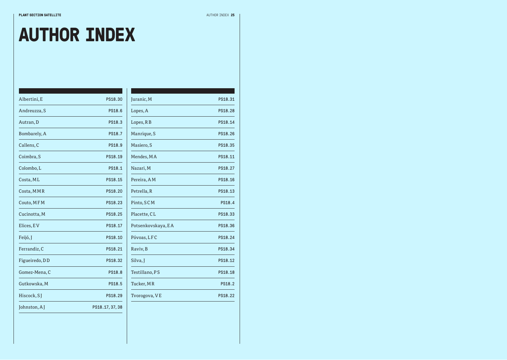## **AUTHOR INDEX**

mar i s

| Albertini, E   | PS18.30         | Jura        |
|----------------|-----------------|-------------|
| Andreuzza, S   | PS18.6          | Lop         |
| Autran, D      | PS18.3          | Lope        |
| Bombarely, A   | PS18.7          | Mar         |
| Callens, C     | PS18.9          | Mas         |
| Coimbra, S     | PS18.19         | Men         |
| Colombo, L     | PS18.1          | Naz         |
| Costa, ML      | PS18.15         | Pere        |
| Costa, MMR     | PS18.20         | Petr        |
| Couto, MFM     | PS18.23         | Pint        |
| Cucinotta, M   | PS18.25         | Plac        |
| Elices, EV     | PS18.17         | Pots        |
| Feijó, J       | PS18.10         | Póv         |
| Ferrandiz, C   | PS18.21         | Rav         |
| Figueiredo, DD | PS18.32         | Silv        |
| Gomez-Mena, C  | PS18.8          | <b>Test</b> |
| Gutkowska, M   | PS18.5          | Tucl        |
| Hiscock, SJ    | PS18.29         | Tvo         |
| Johnston, AJ   | PS18.17, 37, 38 |             |
|                |                 |             |

| Juranic, M         | PS18.31 |
|--------------------|---------|
| Lopes, A           | PS18.28 |
| Lopes, RB          | PS18.14 |
| Manrique, S        | PS18.26 |
| Masiero, S         | PS18.35 |
| Mendes, MA         | PS18.11 |
| Nazari, M          | PS18.27 |
| Pereira, AM        | PS18.16 |
| Petrella, R        | PS18.13 |
| Pinto, SCM         | PS18.4  |
| Placette, CL       | PS18.33 |
| Potsenkovskaya, EA | PS18.36 |
| Póvoas, LFC        | PS18.24 |
| Raviv, B           | PS18.34 |
| Silva, J           | PS18.12 |
| Testillano, PS     | PS18.18 |
| Tucker, MR         | PS18.2  |
| Tvorogova, VE      | PS18.22 |